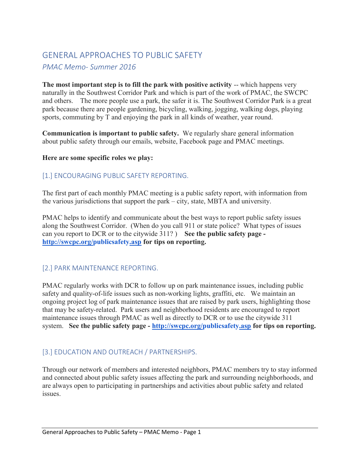# GENERAL APPROACHES TO PUBLIC SAFETY PMAC Memo- Summer 2016

The most important step is to fill the park with positive activity -- which happens very naturally in the Southwest Corridor Park and which is part of the work of PMAC, the SWCPC and others. The more people use a park, the safer it is. The Southwest Corridor Park is a great park because there are people gardening, bicycling, walking, jogging, walking dogs, playing sports, commuting by T and enjoying the park in all kinds of weather, year round.

Communication is important to public safety. We regularly share general information about public safety through our emails, website, Facebook page and PMAC meetings.

#### Here are some specific roles we play:

#### [1.] ENCOURAGING PUBLIC SAFETY REPORTING.

The first part of each monthly PMAC meeting is a public safety report, with information from the various jurisdictions that support the park – city, state, MBTA and university.

PMAC helps to identify and communicate about the best ways to report public safety issues along the Southwest Corridor. (When do you call 911 or state police? What types of issues can you report to DCR or to the citywide 311?) See the public safety page http://swcpc.org/publicsafety.asp for tips on reporting.

# [2.] PARK MAINTENANCE REPORTING.

PMAC regularly works with DCR to follow up on park maintenance issues, including public safety and quality-of-life issues such as non-working lights, graffiti, etc. We maintain an ongoing project log of park maintenance issues that are raised by park users, highlighting those that may be safety-related. Park users and neighborhood residents are encouraged to report maintenance issues through PMAC as well as directly to DCR or to use the citywide 311 system. See the public safety page - http://swcpc.org/publicsafety.asp for tips on reporting.

# [3.] EDUCATION AND OUTREACH / PARTNERSHIPS.

Through our network of members and interested neighbors, PMAC members try to stay informed and connected about public safety issues affecting the park and surrounding neighborhoods, and are always open to participating in partnerships and activities about public safety and related issues.